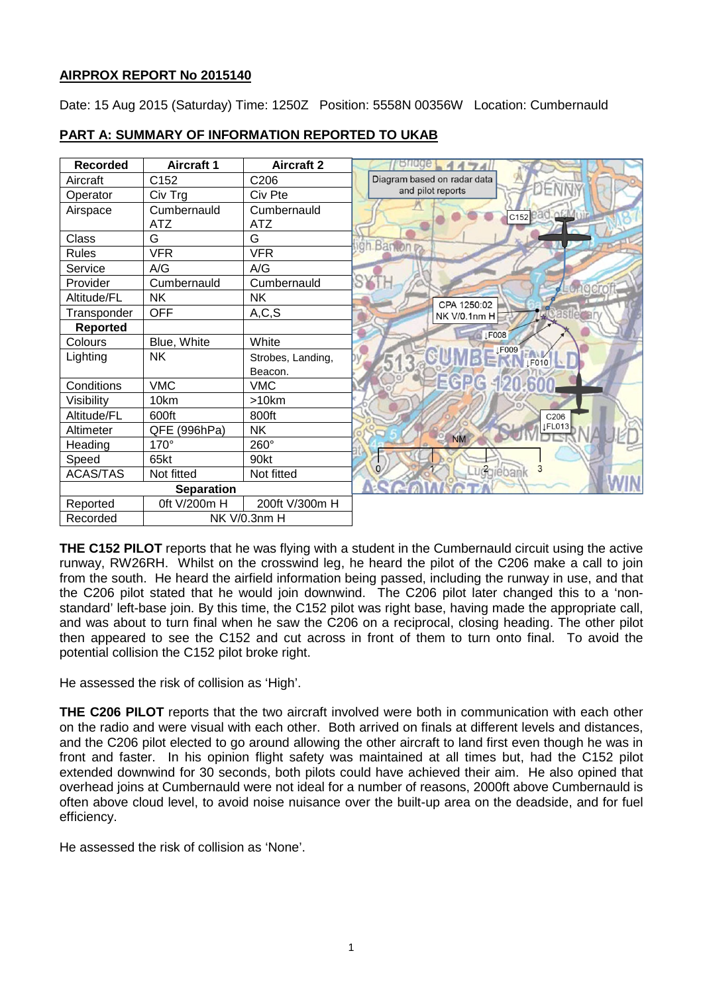## **AIRPROX REPORT No 2015140**

Date: 15 Aug 2015 (Saturday) Time: 1250Z Position: 5558N 00356W Location: Cumbernauld

| <b>Recorded</b>          | <b>Aircraft 1</b> | <b>Aircraft 2</b> |                             |
|--------------------------|-------------------|-------------------|-----------------------------|
| Aircraft                 | C152              | C206              | Diagram based on radar data |
| Operator                 | Civ Trg           | Civ Pte           | and pilot reports           |
| Airspace                 | Cumbernauld       | Cumbernauld       | c <sub>152</sub> ead.of/Mu  |
|                          | ATZ               | ATZ               |                             |
| Class                    | G                 | G                 | gh Banton <sub>R</sub>      |
| <b>Rules</b>             | <b>VFR</b>        | <b>VFR</b>        |                             |
| Service                  | A/G               | A/G               |                             |
| Provider                 | Cumbernauld       | Cumbernauld       | SY                          |
| Altitude/FL              | <b>NK</b>         | <b>NK</b>         | CPA 1250:02                 |
| Transponder              | <b>OFF</b>        | A, C, S           | <b>NK V/0.1nm H</b>         |
| <b>Reported</b>          |                   |                   | $\sqrt{15008}$              |
| Colours                  | Blue, White       | White             |                             |
| Lighting                 | <b>NK</b>         | Strobes, Landing, | $\sqrt{15009}$<br>AV FO10   |
|                          |                   | Beacon.           |                             |
| Conditions               | <b>VMC</b>        | <b>VMC</b>        | <b>EGPG 120.600</b>         |
| Visibility               | 10km              | >10km             |                             |
| Altitude/FL              | 600ft             | 800ft             | C206                        |
| Altimeter                | QFE (996hPa)      | <b>NK</b>         | LFL013                      |
| Heading                  | 170°              | 260°              | <b>NM</b>                   |
| Speed                    | 65kt              | 90kt              |                             |
| <b>ACAS/TAS</b>          | Not fitted        | Not fitted        | uggiebank<br>3              |
| <b>Separation</b>        |                   |                   |                             |
| Reported                 | 0ft V/200m H      | 200ft V/300m H    |                             |
| Recorded<br>NK V/0.3nm H |                   |                   |                             |

# **PART A: SUMMARY OF INFORMATION REPORTED TO UKAB**

**THE C152 PILOT** reports that he was flying with a student in the Cumbernauld circuit using the active runway, RW26RH. Whilst on the crosswind leg, he heard the pilot of the C206 make a call to join from the south. He heard the airfield information being passed, including the runway in use, and that the C206 pilot stated that he would join downwind. The C206 pilot later changed this to a 'nonstandard' left-base join. By this time, the C152 pilot was right base, having made the appropriate call, and was about to turn final when he saw the C206 on a reciprocal, closing heading. The other pilot then appeared to see the C152 and cut across in front of them to turn onto final. To avoid the potential collision the C152 pilot broke right.

He assessed the risk of collision as 'High'.

**THE C206 PILOT** reports that the two aircraft involved were both in communication with each other on the radio and were visual with each other. Both arrived on finals at different levels and distances, and the C206 pilot elected to go around allowing the other aircraft to land first even though he was in front and faster. In his opinion flight safety was maintained at all times but, had the C152 pilot extended downwind for 30 seconds, both pilots could have achieved their aim. He also opined that overhead joins at Cumbernauld were not ideal for a number of reasons, 2000ft above Cumbernauld is often above cloud level, to avoid noise nuisance over the built-up area on the deadside, and for fuel efficiency.

He assessed the risk of collision as 'None'.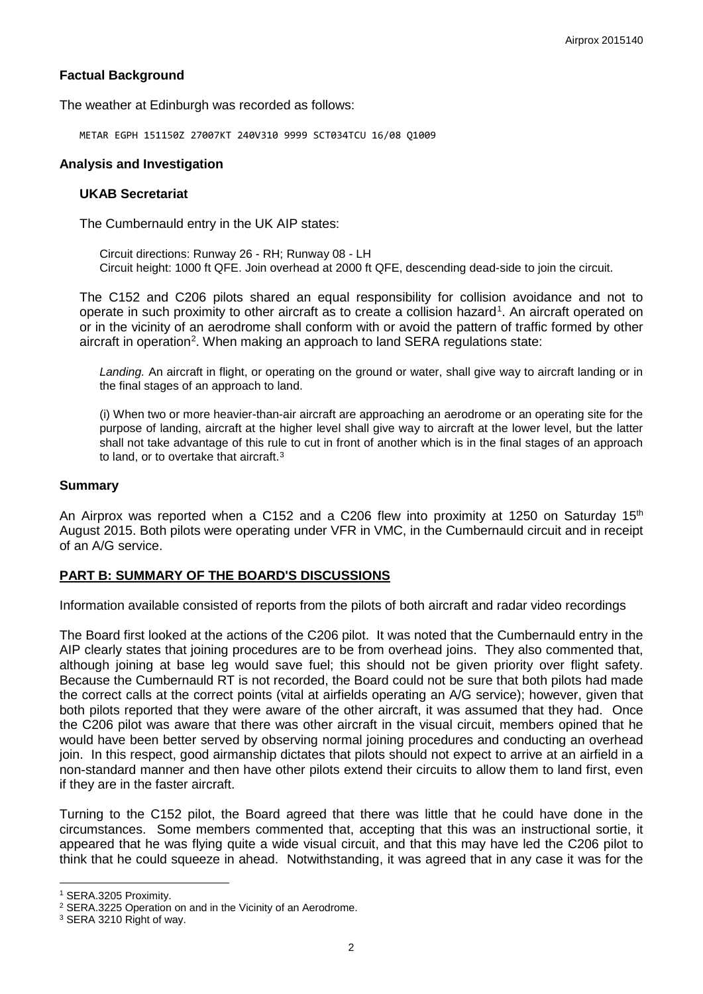## **Factual Background**

The weather at Edinburgh was recorded as follows:

METAR EGPH 151150Z 27007KT 240V310 9999 SCT034TCU 16/08 Q1009

## **Analysis and Investigation**

#### **UKAB Secretariat**

The Cumbernauld entry in the UK AIP states:

Circuit directions: Runway 26 - RH; Runway 08 - LH Circuit height: 1000 ft QFE. Join overhead at 2000 ft QFE, descending dead-side to join the circuit.

The C152 and C206 pilots shared an equal responsibility for collision avoidance and not to operate in such proximity to other aircraft as to create a collision hazard<sup>[1](#page-1-0)</sup>. An aircraft operated on or in the vicinity of an aerodrome shall conform with or avoid the pattern of traffic formed by other aircraft in operation<sup>[2](#page-1-1)</sup>. When making an approach to land SERA regulations state:

*Landing.* An aircraft in flight, or operating on the ground or water, shall give way to aircraft landing or in the final stages of an approach to land.

(i) When two or more heavier-than-air aircraft are approaching an aerodrome or an operating site for the purpose of landing, aircraft at the higher level shall give way to aircraft at the lower level, but the latter shall not take advantage of this rule to cut in front of another which is in the final stages of an approach to land, or to overtake that aircraft.[3](#page-1-2)

## **Summary**

An Airprox was reported when a C152 and a C206 flew into proximity at 1250 on Saturday 15<sup>th</sup> August 2015. Both pilots were operating under VFR in VMC, in the Cumbernauld circuit and in receipt of an A/G service.

## **PART B: SUMMARY OF THE BOARD'S DISCUSSIONS**

Information available consisted of reports from the pilots of both aircraft and radar video recordings

The Board first looked at the actions of the C206 pilot. It was noted that the Cumbernauld entry in the AIP clearly states that joining procedures are to be from overhead joins. They also commented that, although joining at base leg would save fuel; this should not be given priority over flight safety. Because the Cumbernauld RT is not recorded, the Board could not be sure that both pilots had made the correct calls at the correct points (vital at airfields operating an A/G service); however, given that both pilots reported that they were aware of the other aircraft, it was assumed that they had. Once the C206 pilot was aware that there was other aircraft in the visual circuit, members opined that he would have been better served by observing normal joining procedures and conducting an overhead join. In this respect, good airmanship dictates that pilots should not expect to arrive at an airfield in a non-standard manner and then have other pilots extend their circuits to allow them to land first, even if they are in the faster aircraft.

Turning to the C152 pilot, the Board agreed that there was little that he could have done in the circumstances. Some members commented that, accepting that this was an instructional sortie, it appeared that he was flying quite a wide visual circuit, and that this may have led the C206 pilot to think that he could squeeze in ahead. Notwithstanding, it was agreed that in any case it was for the

 $\overline{\phantom{a}}$ 

<span id="page-1-0"></span><sup>1</sup> SERA.3205 Proximity.

<span id="page-1-1"></span><sup>2</sup> SERA.3225 Operation on and in the Vicinity of an Aerodrome.

<span id="page-1-2"></span><sup>3</sup> SERA 3210 Right of way.